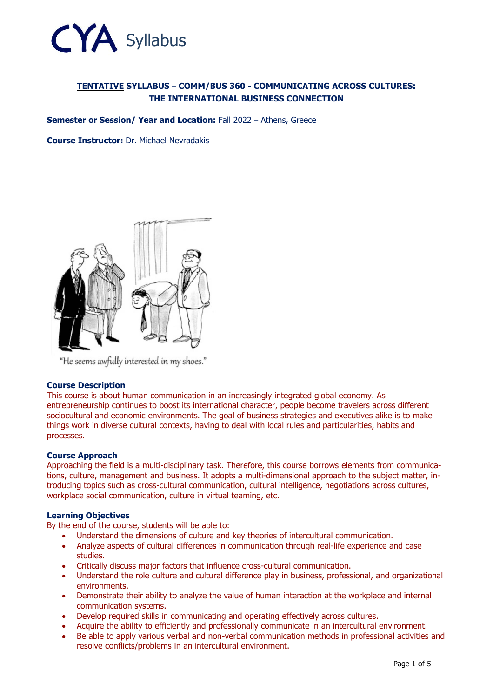

# **TENTATIVE SYLLABUS – COMM/BUS 360 - COMMUNICATING ACROSS CULTURES: THE INTERNATIONAL BUSINESS CONNECTION**

**Semester or Session/ Year and Location: Fall 2022 - Athens, Greece** 

**Course Instructor:** Dr. Michael Nevradakis



"He seems awfully interested in my shoes."

## **Course Description**

This course is about human communication in an increasingly integrated global economy. As entrepreneurship continues to boost its international character, people become travelers across different sociocultural and economic environments. The goal of business strategies and executives alike is to make things work in diverse cultural contexts, having to deal with local rules and particularities, habits and processes.

## **Course Approach**

Approaching the field is a multi-disciplinary task. Therefore, this course borrows elements from communications, culture, management and business. It adopts a multi-dimensional approach to the subject matter, introducing topics such as cross-cultural communication, cultural intelligence, negotiations across cultures, workplace social communication, culture in virtual teaming, etc.

## **Learning Objectives**

By the end of the course, students will be able to:

- Understand the dimensions of culture and key theories of intercultural communication.
- Analyze aspects of cultural differences in communication through real-life experience and case studies.
- Critically discuss major factors that influence cross-cultural communication.
- Understand the role culture and cultural difference play in business, professional, and organizational environments.
- Demonstrate their ability to analyze the value of human interaction at the workplace and internal communication systems.
- Develop required skills in communicating and operating effectively across cultures.
- Acquire the ability to efficiently and professionally communicate in an intercultural environment.
- Be able to apply various verbal and non-verbal communication methods in professional activities and resolve conflicts/problems in an intercultural environment.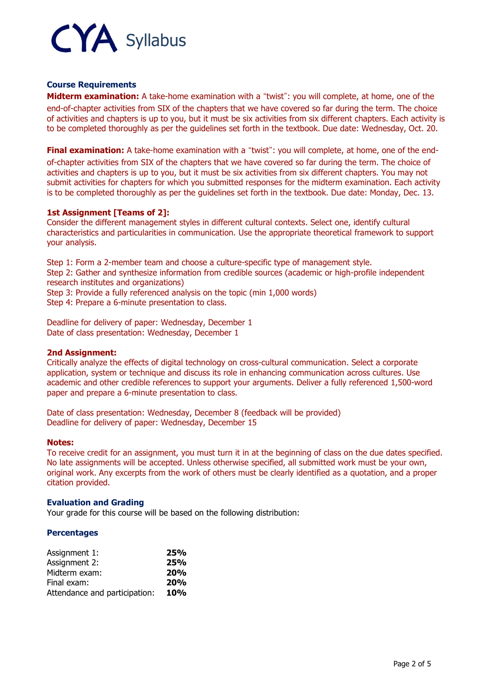

## **Course Requirements**

**Midterm examination:** A take-home examination with a "twist": you will complete, at home, one of the end-of-chapter activities from SIX of the chapters that we have covered so far during the term. The choice of activities and chapters is up to you, but it must be six activities from six different chapters. Each activity is to be completed thoroughly as per the guidelines set forth in the textbook. Due date: Wednesday, Oct. 20.

**Final examination:** A take-home examination with a "twist": you will complete, at home, one of the endof-chapter activities from SIX of the chapters that we have covered so far during the term. The choice of activities and chapters is up to you, but it must be six activities from six different chapters. You may not submit activities for chapters for which you submitted responses for the midterm examination. Each activity is to be completed thoroughly as per the guidelines set forth in the textbook. Due date: Monday, Dec. 13.

## **1st Assignment [Teams of 2]:**

Consider the different management styles in different cultural contexts. Select one, identify cultural characteristics and particularities in communication. Use the appropriate theoretical framework to support your analysis.

Step 1: Form a 2-member team and choose a culture-specific type of management style. Step 2: Gather and synthesize information from credible sources (academic or high-profile independent research institutes and organizations) Step 3: Provide a fully referenced analysis on the topic (min 1,000 words)

Step 4: Prepare a 6-minute presentation to class.

Deadline for delivery of paper: Wednesday, December 1 Date of class presentation: Wednesday, December 1

## **2nd Assignment:**

Critically analyze the effects of digital technology on cross-cultural communication. Select a corporate application, system or technique and discuss its role in enhancing communication across cultures. Use academic and other credible references to support your arguments. Deliver a fully referenced 1,500-word paper and prepare a 6-minute presentation to class.

Date of class presentation: Wednesday, December 8 (feedback will be provided) Deadline for delivery of paper: Wednesday, December 15

## **Notes:**

To receive credit for an assignment, you must turn it in at the beginning of class on the due dates specified. No late assignments will be accepted. Unless otherwise specified, all submitted work must be your own, original work. Any excerpts from the work of others must be clearly identified as a quotation, and a proper citation provided.

## **Evaluation and Grading**

Your grade for this course will be based on the following distribution:

## **Percentages**

| Assignment 1:                 | 25% |
|-------------------------------|-----|
| Assignment 2:                 | 25% |
| Midterm exam:                 | 20% |
| Final exam:                   | 20% |
| Attendance and participation: | 10% |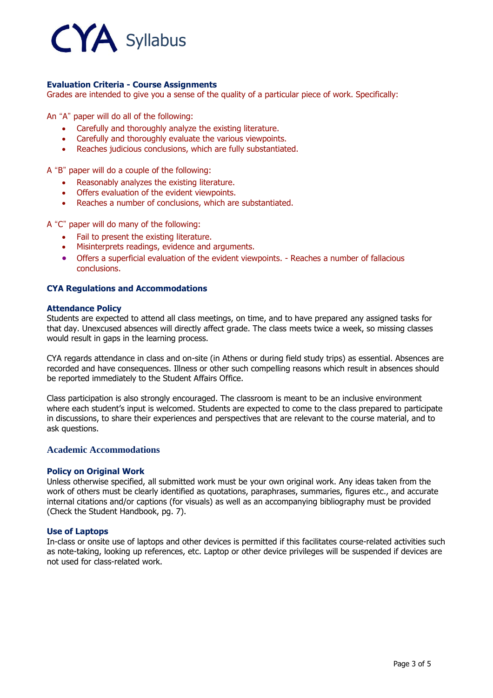

## **Evaluation Criteria - Course Assignments**

Grades are intended to give you a sense of the quality of a particular piece of work. Specifically:

An "A" paper will do all of the following:

- Carefully and thoroughly analyze the existing literature.
- Carefully and thoroughly evaluate the various viewpoints.
- Reaches judicious conclusions, which are fully substantiated.

A "B" paper will do a couple of the following:

- Reasonably analyzes the existing literature.
- Offers evaluation of the evident viewpoints.
- Reaches a number of conclusions, which are substantiated.

A "C" paper will do many of the following:

- Fail to present the existing literature.
- Misinterprets readings, evidence and arguments.
- Offers a superficial evaluation of the evident viewpoints. Reaches a number of fallacious conclusions.

#### **CYA Regulations and Accommodations**

#### **Attendance Policy**

Students are expected to attend all class meetings, on time, and to have prepared any assigned tasks for that day. Unexcused absences will directly affect grade. The class meets twice a week, so missing classes would result in gaps in the learning process.

CYA regards attendance in class and on-site (in Athens or during field study trips) as essential. Absences are recorded and have consequences. Illness or other such compelling reasons which result in absences should be reported immediately to the Student Affairs Office.

Class participation is also strongly encouraged. The classroom is meant to be an inclusive environment where each student's input is welcomed. Students are expected to come to the class prepared to participate in discussions, to share their experiences and perspectives that are relevant to the course material, and to ask questions.

## **Academic Accommodations**

#### **Policy on Original Work**

Unless otherwise specified, all submitted work must be your own original work. Any ideas taken from the work of others must be clearly identified as quotations, paraphrases, summaries, figures etc., and accurate internal citations and/or captions (for visuals) as well as an accompanying bibliography must be provided (Check the Student Handbook, pg. 7).

## **Use of Laptops**

In-class or onsite use of laptops and other devices is permitted if this facilitates course-related activities such as note-taking, looking up references, etc. Laptop or other device privileges will be suspended if devices are not used for class-related work.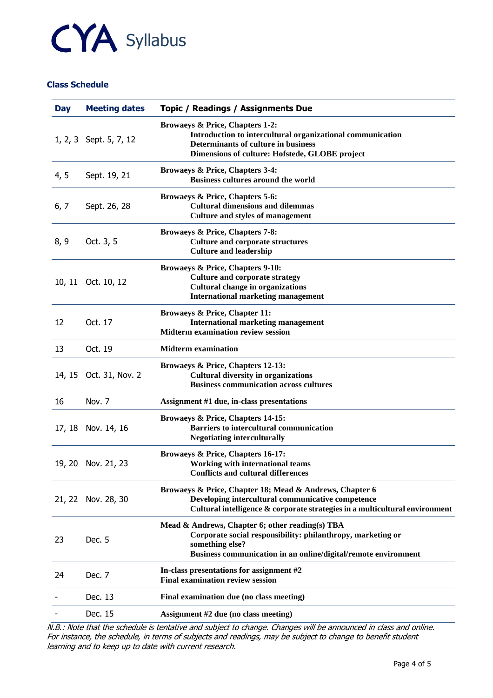

## **Class Schedule**

| <b>Day</b> | <b>Meeting dates</b>   | Topic / Readings / Assignments Due                                                                                                                                                                  |
|------------|------------------------|-----------------------------------------------------------------------------------------------------------------------------------------------------------------------------------------------------|
|            | 1, 2, 3 Sept. 5, 7, 12 | <b>Browaeys &amp; Price, Chapters 1-2:</b><br>Introduction to intercultural organizational communication<br>Determinants of culture in business<br>Dimensions of culture: Hofstede, GLOBE project   |
| 4, 5       | Sept. 19, 21           | Browaeys & Price, Chapters 3-4:<br><b>Business cultures around the world</b>                                                                                                                        |
| 6, 7       | Sept. 26, 28           | Browaeys & Price, Chapters 5-6:<br><b>Cultural dimensions and dilemmas</b><br><b>Culture and styles of management</b>                                                                               |
| 8, 9       | Oct. 3, 5              | Browaeys & Price, Chapters 7-8:<br><b>Culture and corporate structures</b><br><b>Culture and leadership</b>                                                                                         |
|            | 10, 11 Oct. 10, 12     | Browaeys & Price, Chapters 9-10:<br><b>Culture and corporate strategy</b><br><b>Cultural change in organizations</b><br><b>International marketing management</b>                                   |
| 12         | Oct. 17                | <b>Browaeys &amp; Price, Chapter 11:</b><br><b>International marketing management</b><br><b>Midterm examination review session</b>                                                                  |
| 13         | Oct. 19                | <b>Midterm</b> examination                                                                                                                                                                          |
|            | 14, 15 Oct. 31, Nov. 2 | Browaeys & Price, Chapters 12-13:<br><b>Cultural diversity in organizations</b><br><b>Business communication across cultures</b>                                                                    |
| 16         | Nov. 7                 | Assignment #1 due, in-class presentations                                                                                                                                                           |
| 17, 18     | Nov. 14, 16            | Browaeys & Price, Chapters 14-15:<br><b>Barriers to intercultural communication</b><br><b>Negotiating interculturally</b>                                                                           |
|            | 19, 20 Nov. 21, 23     | Browaeys & Price, Chapters 16-17:<br>Working with international teams<br><b>Conflicts and cultural differences</b>                                                                                  |
| 21, 22     | Nov. 28, 30            | Browaeys & Price, Chapter 18; Mead & Andrews, Chapter 6<br>Developing intercultural communicative competence<br>Cultural intelligence & corporate strategies in a multicultural environment         |
| 23         | Dec. 5                 | Mead & Andrews, Chapter 6; other reading(s) TBA<br>Corporate social responsibility: philanthropy, marketing or<br>something else?<br>Business communication in an online/digital/remote environment |
| 24         | Dec. 7                 | In-class presentations for assignment #2<br><b>Final examination review session</b>                                                                                                                 |
|            | Dec. 13                | Final examination due (no class meeting)                                                                                                                                                            |
|            | Dec. 15                | Assignment #2 due (no class meeting)                                                                                                                                                                |
|            |                        |                                                                                                                                                                                                     |

N.B.: Note that the schedule is tentative and subject to change. Changes will be announced in class and online. For instance, the schedule, in terms of subjects and readings, may be subject to change to benefit student learning and to keep up to date with current research.